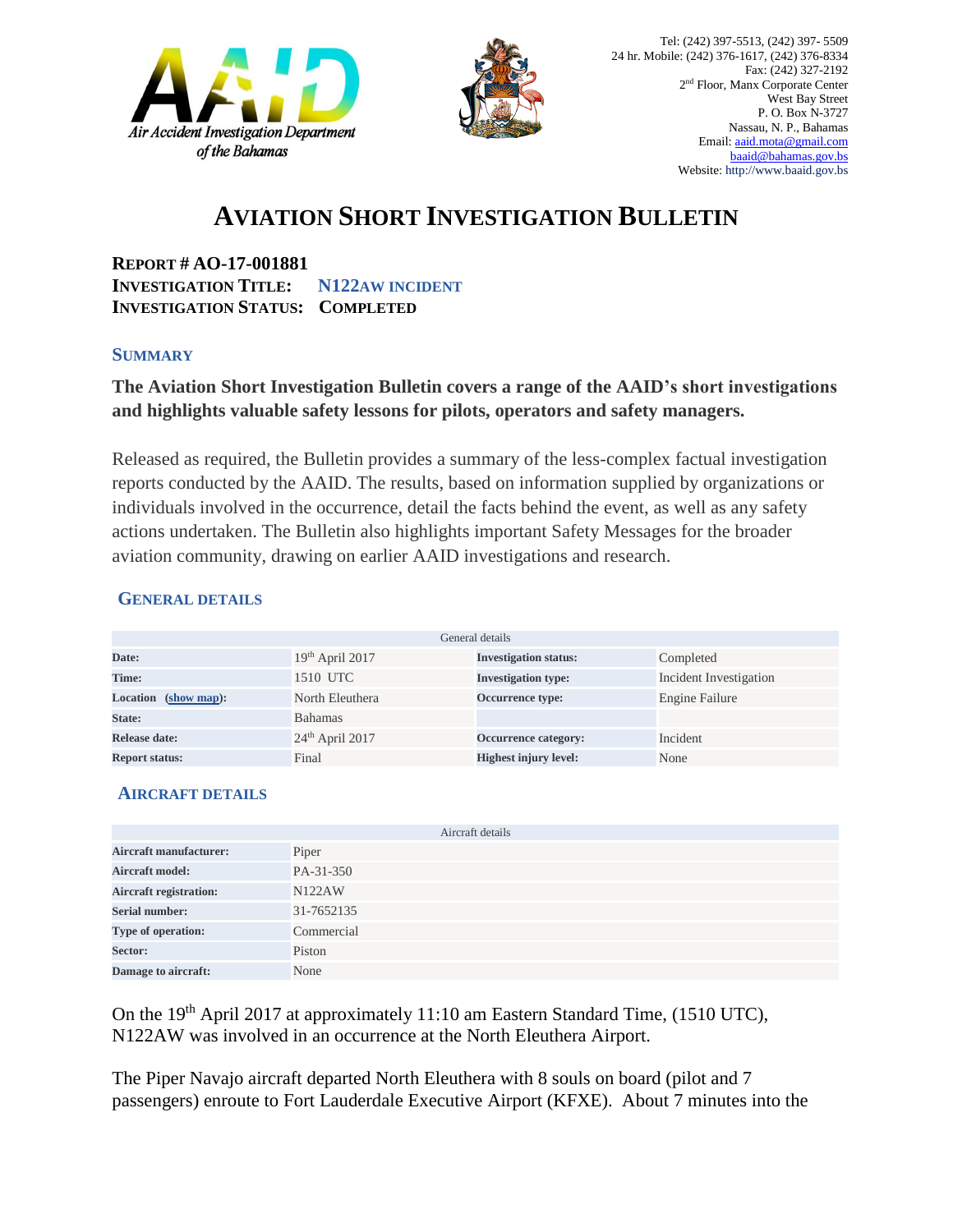



## **AVIATION SHORT INVESTIGATION BULLETIN**

**REPORT # AO-17-001881 INVESTIGATION TITLE: N122AW INCIDENT INVESTIGATION STATUS: COMPLETED**

#### **SUMMARY**

### **The Aviation Short Investigation Bulletin covers a range of the AAID's short investigations and highlights valuable safety lessons for pilots, operators and safety managers.**

Released as required, the Bulletin provides a summary of the less-complex factual investigation reports conducted by the AAID. The results, based on information supplied by organizations or individuals involved in the occurrence, detail the facts behind the event, as well as any safety actions undertaken. The Bulletin also highlights important Safety Messages for the broader aviation community, drawing on earlier AAID investigations and research.

#### **GENERAL DETAILS**

| General details                |                   |                              |                        |
|--------------------------------|-------------------|------------------------------|------------------------|
| Date:                          | $19th$ April 2017 | <b>Investigation status:</b> | Completed              |
| Time:                          | 1510 UTC          | <b>Investigation type:</b>   | Incident Investigation |
| <b>Location</b><br>(show map): | North Eleuthera   | Occurrence type:             | Engine Failure         |
| State:                         | <b>Bahamas</b>    |                              |                        |
| Release date:                  | $24th$ April 2017 | Occurrence category:         | Incident               |
| <b>Report status:</b>          | Final             | <b>Highest injury level:</b> | None                   |

#### **AIRCRAFT DETAILS**

|                               | Aircraft details |
|-------------------------------|------------------|
| <b>Aircraft manufacturer:</b> | Piper            |
| <b>Aircraft model:</b>        | PA-31-350        |
| <b>Aircraft registration:</b> | <b>N122AW</b>    |
| <b>Serial number:</b>         | 31-7652135       |
| Type of operation:            | Commercial       |
| Sector:                       | Piston           |
| Damage to aircraft:           | None             |

On the 19<sup>th</sup> April 2017 at approximately 11:10 am Eastern Standard Time, (1510 UTC), N122AW was involved in an occurrence at the North Eleuthera Airport.

The Piper Navajo aircraft departed North Eleuthera with 8 souls on board (pilot and 7 passengers) enroute to Fort Lauderdale Executive Airport (KFXE). About 7 minutes into the